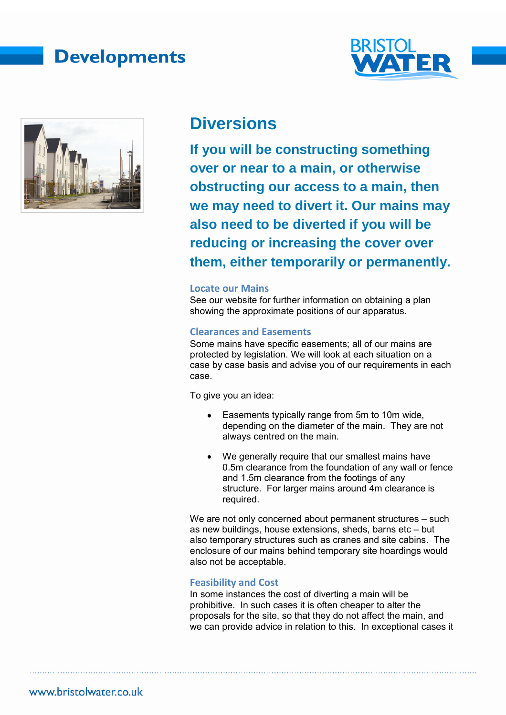## **Developments**





### **Diversions**

**If you will be constructing something over or near to a main, or otherwise obstructing our access to a main, then we may need to divert it. Our mains may also need to be diverted if you will be reducing or increasing the cover over them, either temporarily or permanently.** 

#### **Locate our Mains**

See our website for further information on obtaining a plan showing the approximate positions of our apparatus.

### **Clearances and Easements**

Some mains have specific easements; all of our mains are protected by legislation. We will look at each situation on a case by case basis and advise you of our requirements in each case.

To give you an idea:

- Easements typically range from 5m to 10m wide, depending on the diameter of the main. They are not always centred on the main.
- We generally require that our smallest mains have 0.5m clearance from the foundation of any wall or fence and 1.5m clearance from the footings of any structure. For larger mains around 4m clearance is required.

We are not only concerned about permanent structures – such as new buildings, house extensions, sheds, barns etc – but also temporary structures such as cranes and site cabins. The enclosure of our mains behind temporary site hoardings would also not be acceptable.

### **Feasibility and Cost**

In some instances the cost of diverting a main will be prohibitive. In such cases it is often cheaper to alter the proposals for the site, so that they do not affect the main, and we can provide advice in relation to this. In exceptional cases it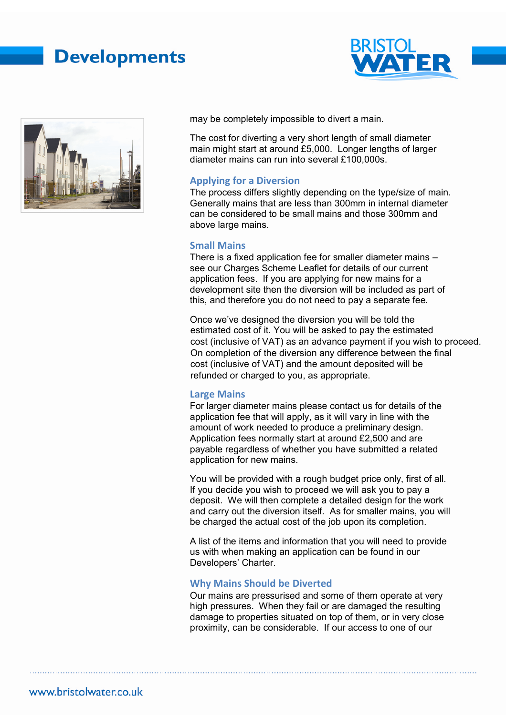# **Developments**





may be completely impossible to divert a main.

The cost for diverting a very short length of small diameter main might start at around £5,000. Longer lengths of larger diameter mains can run into several £100,000s.

#### **Applying for a Diversion**

The process differs slightly depending on the type/size of main. Generally mains that are less than 300mm in internal diameter can be considered to be small mains and those 300mm and above large mains.

#### **Small Mains**

There is a fixed application fee for smaller diameter mains – see our Charges Scheme Leaflet for details of our current application fees. If you are applying for new mains for a development site then the diversion will be included as part of this, and therefore you do not need to pay a separate fee.

Once we've designed the diversion you will be told the On completion of the diversion any difference between the final estimated cost of it. You will be asked to pay the estimated cost (inclusive of VAT) as an advance payment if you wish to proceed. cost (inclusive of VAT) and the amount deposited will be refunded or charged to you, as appropriate.

#### **Large Mains**

For larger diameter mains please contact us for details of the application fee that will apply, as it will vary in line with the amount of work needed to produce a preliminary design. Application fees normally start at around £2,500 and are payable regardless of whether you have submitted a related application for new mains.

You will be provided with a rough budget price only, first of all. If you decide you wish to proceed we will ask you to pay a deposit. We will then complete a detailed design for the work and carry out the diversion itself. As for smaller mains, you will be charged the actual cost of the job upon its completion.

A list of the items and information that you will need to provide us with when making an application can be found in our Developers' Charter.

### **Why Mains Should be Diverted**

Our mains are pressurised and some of them operate at very high pressures. When they fail or are damaged the resulting damage to properties situated on top of them, or in very close proximity, can be considerable. If our access to one of our